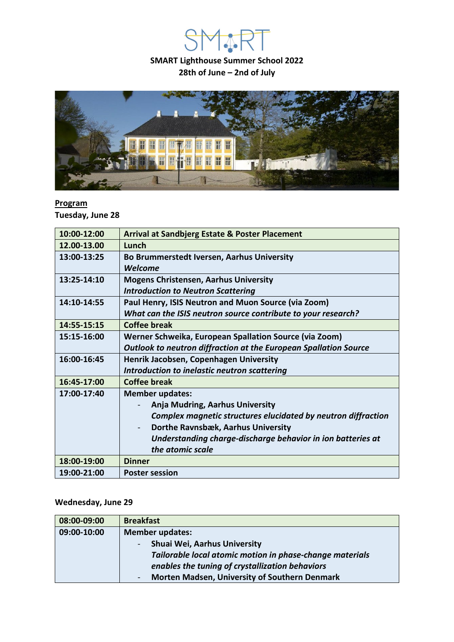**SMART Lighthouse Summer School 2022 28th of June – 2nd of July**

**YASE** 



#### **Program**

**Tuesday, June 28**

| 10:00-12:00 | <b>Arrival at Sandbjerg Estate &amp; Poster Placement</b>               |
|-------------|-------------------------------------------------------------------------|
| 12.00-13.00 | Lunch                                                                   |
| 13:00-13:25 | Bo Brummerstedt Iversen, Aarhus University                              |
|             | Welcome                                                                 |
| 13:25-14:10 | <b>Mogens Christensen, Aarhus University</b>                            |
|             | <b>Introduction to Neutron Scattering</b>                               |
| 14:10-14:55 | Paul Henry, ISIS Neutron and Muon Source (via Zoom)                     |
|             | What can the ISIS neutron source contribute to your research?           |
| 14:55-15:15 | <b>Coffee break</b>                                                     |
| 15:15-16:00 | Werner Schweika, European Spallation Source (via Zoom)                  |
|             | <b>Outlook to neutron diffraction at the European Spallation Source</b> |
| 16:00-16:45 | Henrik Jacobsen, Copenhagen University                                  |
|             | Introduction to inelastic neutron scattering                            |
| 16:45-17:00 | <b>Coffee break</b>                                                     |
| 17:00-17:40 | <b>Member updates:</b>                                                  |
|             | <b>Anja Mudring, Aarhus University</b>                                  |
|             | Complex magnetic structures elucidated by neutron diffraction           |
|             | Dorthe Ravnsbæk, Aarhus University                                      |
|             | Understanding charge-discharge behavior in ion batteries at             |
|             | the atomic scale                                                        |
| 18:00-19:00 | <b>Dinner</b>                                                           |
| 19:00-21:00 | <b>Poster session</b>                                                   |

### **Wednesday, June 29**

| 08:00-09:00 | <b>Breakfast</b>                                         |
|-------------|----------------------------------------------------------|
| 09:00-10:00 | <b>Member updates:</b>                                   |
|             | Shuai Wei, Aarhus University                             |
|             | Tailorable local atomic motion in phase-change materials |
|             | enables the tuning of crystallization behaviors          |
|             | <b>Morten Madsen, University of Southern Denmark</b>     |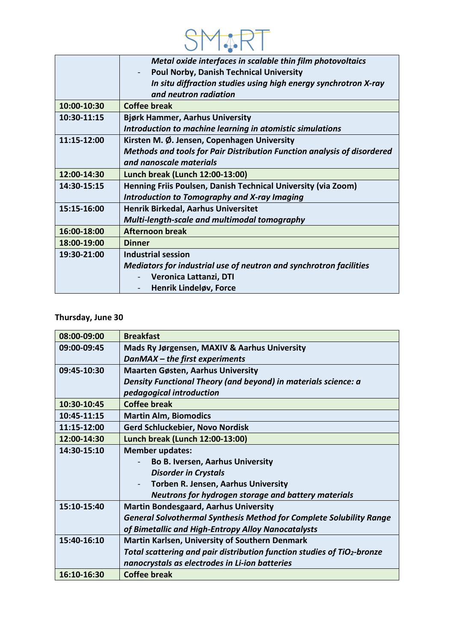

|             | Metal oxide interfaces in scalable thin film photovoltaics              |
|-------------|-------------------------------------------------------------------------|
|             | <b>Poul Norby, Danish Technical University</b>                          |
|             | In situ diffraction studies using high energy synchrotron X-ray         |
|             | and neutron radiation                                                   |
| 10:00-10:30 | <b>Coffee break</b>                                                     |
| 10:30-11:15 | <b>Bjørk Hammer, Aarhus University</b>                                  |
|             | Introduction to machine learning in atomistic simulations               |
| 11:15-12:00 | Kirsten M. Ø. Jensen, Copenhagen University                             |
|             | Methods and tools for Pair Distribution Function analysis of disordered |
|             | and nanoscale materials                                                 |
| 12:00-14:30 | Lunch break (Lunch 12:00-13:00)                                         |
| 14:30-15:15 | Henning Friis Poulsen, Danish Technical University (via Zoom)           |
|             | <b>Introduction to Tomography and X-ray Imaging</b>                     |
| 15:15-16:00 | Henrik Birkedal, Aarhus Universitet                                     |
|             | Multi-length-scale and multimodal tomography                            |
| 16:00-18:00 | <b>Afternoon break</b>                                                  |
| 18:00-19:00 | <b>Dinner</b>                                                           |
| 19:30-21:00 | <b>Industrial session</b>                                               |
|             | Mediators for industrial use of neutron and synchrotron facilities      |
|             | Veronica Lattanzi, DTI                                                  |
|             | Henrik Lindeløv, Force                                                  |
|             |                                                                         |

### **Thursday, June 30**

| 08:00-09:00 | <b>Breakfast</b>                                                                    |
|-------------|-------------------------------------------------------------------------------------|
| 09:00-09:45 | Mads Ry Jørgensen, MAXIV & Aarhus University                                        |
|             | DanMAX – the first experiments                                                      |
| 09:45-10:30 | <b>Maarten Gøsten, Aarhus University</b>                                            |
|             | Density Functional Theory (and beyond) in materials science: a                      |
|             | pedagogical introduction                                                            |
| 10:30-10:45 | <b>Coffee break</b>                                                                 |
| 10:45-11:15 | <b>Martin Alm, Biomodics</b>                                                        |
| 11:15-12:00 | Gerd Schluckebier, Novo Nordisk                                                     |
| 12:00-14:30 | Lunch break (Lunch 12:00-13:00)                                                     |
| 14:30-15:10 | <b>Member updates:</b>                                                              |
|             | <b>Bo B. Iversen, Aarhus University</b>                                             |
|             | <b>Disorder in Crystals</b>                                                         |
|             | Torben R. Jensen, Aarhus University<br>$\overline{\phantom{a}}$                     |
|             | Neutrons for hydrogen storage and battery materials                                 |
| 15:10-15:40 | <b>Martin Bondesgaard, Aarhus University</b>                                        |
|             | <b>General Solvothermal Synthesis Method for Complete Solubility Range</b>          |
|             | of Bimetallic and High-Entropy Alloy Nanocatalysts                                  |
| 15:40-16:10 | <b>Martin Karlsen, University of Southern Denmark</b>                               |
|             | Total scattering and pair distribution function studies of TiO <sub>2</sub> -bronze |
|             | nanocrystals as electrodes in Li-ion batteries                                      |
| 16:10-16:30 | <b>Coffee break</b>                                                                 |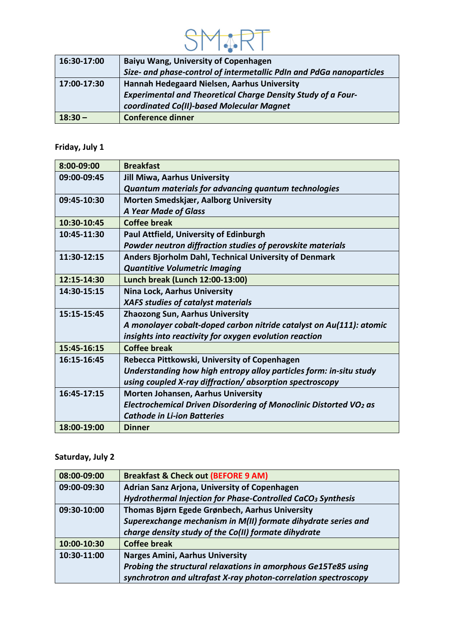

| 16:30-17:00 | <b>Baiyu Wang, University of Copenhagen</b>                          |
|-------------|----------------------------------------------------------------------|
|             | Size- and phase-control of intermetallic PdIn and PdGa nanoparticles |
| 17:00-17:30 | Hannah Hedegaard Nielsen, Aarhus University                          |
|             | <b>Experimental and Theoretical Charge Density Study of a Four-</b>  |
|             | coordinated Co(II)-based Molecular Magnet                            |
| $18:30 -$   | <b>Conference dinner</b>                                             |

# **Friday, July 1**

| 8:00-09:00  | <b>Breakfast</b>                                                              |
|-------------|-------------------------------------------------------------------------------|
| 09:00-09:45 | <b>Jill Miwa, Aarhus University</b>                                           |
|             | Quantum materials for advancing quantum technologies                          |
| 09:45-10:30 | Morten Smedskjær, Aalborg University                                          |
|             | <b>A Year Made of Glass</b>                                                   |
| 10:30-10:45 | <b>Coffee break</b>                                                           |
| 10:45-11:30 | Paul Attfield, University of Edinburgh                                        |
|             | Powder neutron diffraction studies of perovskite materials                    |
| 11:30-12:15 | Anders Bjorholm Dahl, Technical University of Denmark                         |
|             | <b>Quantitive Volumetric Imaging</b>                                          |
| 12:15-14:30 | Lunch break (Lunch 12:00-13:00)                                               |
| 14:30-15:15 | <b>Nina Lock, Aarhus University</b>                                           |
|             | <b>XAFS studies of catalyst materials</b>                                     |
| 15:15-15:45 | <b>Zhaozong Sun, Aarhus University</b>                                        |
|             | A monolayer cobalt-doped carbon nitride catalyst on Au(111): atomic           |
|             | insights into reactivity for oxygen evolution reaction                        |
| 15:45-16:15 | <b>Coffee break</b>                                                           |
| 16:15-16:45 | Rebecca Pittkowski, University of Copenhagen                                  |
|             | Understanding how high entropy alloy particles form: in-situ study            |
|             | using coupled X-ray diffraction/ absorption spectroscopy                      |
| 16:45-17:15 | <b>Morten Johansen, Aarhus University</b>                                     |
|             | Electrochemical Driven Disordering of Monoclinic Distorted VO <sub>2</sub> as |
|             | <b>Cathode in Li-ion Batteries</b>                                            |
| 18:00-19:00 | <b>Dinner</b>                                                                 |
|             |                                                                               |

## **Saturday, July 2**

| 08:00-09:00 | <b>Breakfast &amp; Check out (BEFORE 9 AM)</b>                          |
|-------------|-------------------------------------------------------------------------|
| 09:00-09:30 | Adrian Sanz Arjona, University of Copenhagen                            |
|             | Hydrothermal Injection for Phase-Controlled CaCO <sub>3</sub> Synthesis |
| 09:30-10:00 | Thomas Bjørn Egede Grønbech, Aarhus University                          |
|             | Superexchange mechanism in M(II) formate dihydrate series and           |
|             | charge density study of the Co(II) formate dihydrate                    |
| 10:00-10:30 | <b>Coffee break</b>                                                     |
| 10:30-11:00 | <b>Narges Amini, Aarhus University</b>                                  |
|             | Probing the structural relaxations in amorphous Ge15Te85 using          |
|             | synchrotron and ultrafast X-ray photon-correlation spectroscopy         |